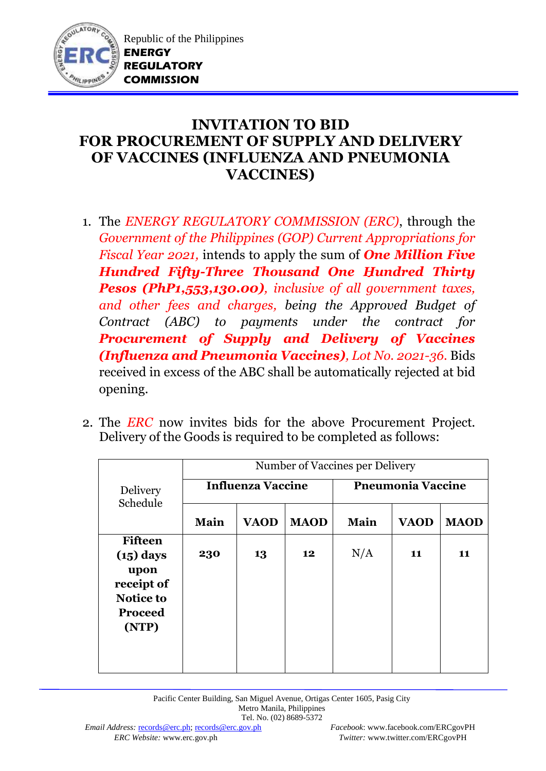

## **INVITATION TO BID FOR PROCUREMENT OF SUPPLY AND DELIVERY OF VACCINES (INFLUENZA AND PNEUMONIA VACCINES)**

- 1. The *ENERGY REGULATORY COMMISSION (ERC)*, through the *Government of the Philippines (GOP) Current Appropriations for Fiscal Year 2021,* intends to apply the sum of *One Million Five Hundred Fifty-Three Thousand One Hundred Thirty Pesos (PhP1,553,130.00), inclusive of all government taxes, and other fees and charges, being the Approved Budget of Contract (ABC) to payments under the contract for Procurement of Supply and Delivery of Vaccines (Influenza and Pneumonia Vaccines), Lot No. 2021-36.* Bids received in excess of the ABC shall be automatically rejected at bid opening.
- 2. The *ERC* now invites bids for the above Procurement Project. Delivery of the Goods is required to be completed as follows:

|                                                                                                    | Number of Vaccines per Delivery |             |             |                          |             |             |  |  |  |
|----------------------------------------------------------------------------------------------------|---------------------------------|-------------|-------------|--------------------------|-------------|-------------|--|--|--|
| <b>Delivery</b><br>Schedule                                                                        | <b>Influenza Vaccine</b>        |             |             | <b>Pneumonia Vaccine</b> |             |             |  |  |  |
|                                                                                                    | Main                            | <b>VAOD</b> | <b>MAOD</b> | Main                     | <b>VAOD</b> | <b>MAOD</b> |  |  |  |
| <b>Fifteen</b><br>$(15)$ days<br>upon<br>receipt of<br><b>Notice to</b><br><b>Proceed</b><br>(NTP) | 230                             | 13          | 12          | N/A                      | 11          | 11          |  |  |  |
|                                                                                                    |                                 |             |             |                          |             |             |  |  |  |

Pacific Center Building, San Miguel Avenue, Ortigas Center 1605, Pasig City Metro Manila, Philippines Tel. No. (02) 8689-5372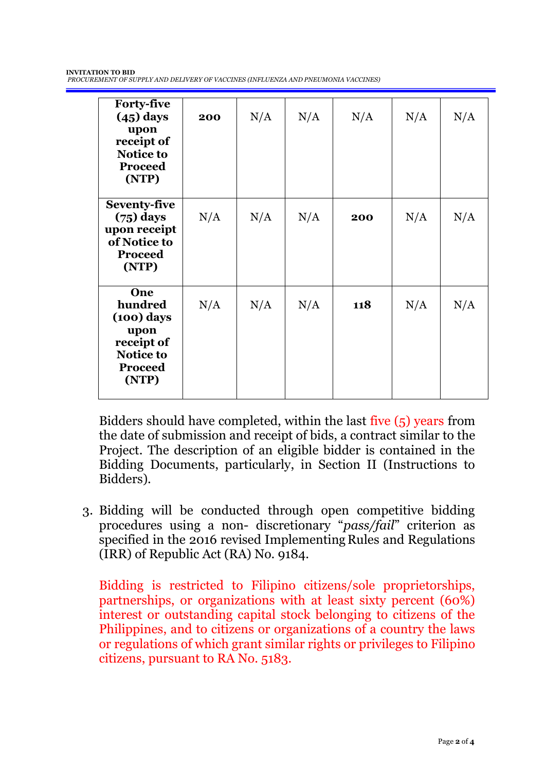| <b>Forty-five</b><br>$(45)$ days<br>upon<br>receipt of<br><b>Notice to</b><br><b>Proceed</b><br>(NTP) | 200 | N/A | N/A | N/A | N/A | N/A |
|-------------------------------------------------------------------------------------------------------|-----|-----|-----|-----|-----|-----|
| <b>Seventy-five</b><br>$(75)$ days<br>upon receipt<br>of Notice to<br><b>Proceed</b><br>(NTP)         | N/A | N/A | N/A | 200 | N/A | N/A |
| One<br>hundred<br>$(100)$ days<br>upon<br>receipt of<br><b>Notice to</b><br><b>Proceed</b><br>(NTP)   | N/A | N/A | N/A | 118 | N/A | N/A |

Bidders should have completed, within the last five (5) years from the date of submission and receipt of bids, a contract similar to the Project. The description of an eligible bidder is contained in the Bidding Documents, particularly, in Section II (Instructions to Bidders).

3. Bidding will be conducted through open competitive bidding procedures using a non- discretionary "*pass/fail*" criterion as specified in the 2016 revised Implementing Rules and Regulations (IRR) of Republic Act (RA) No. 9184.

Bidding is restricted to Filipino citizens/sole proprietorships, partnerships, or organizations with at least sixty percent (60%) interest or outstanding capital stock belonging to citizens of the Philippines, and to citizens or organizations of a country the laws or regulations of which grant similar rights or privileges to Filipino citizens, pursuant to RA No. 5183.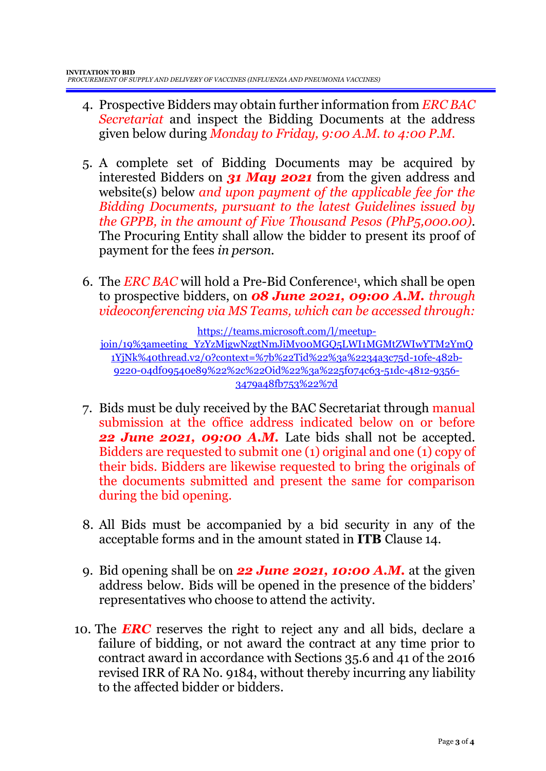- 4. Prospective Bidders may obtain further information from *ERC BAC Secretariat* and inspect the Bidding Documents at the address given below during *Monday to Friday, 9:00 A.M. to 4:00 P.M*.
- 5. A complete set of Bidding Documents may be acquired by interested Bidders on *31 May 2021* from the given address and website(s) below *and upon payment of the applicable fee for the Bidding Documents, pursuant to the latest Guidelines issued by the GPPB, in the amount of Five Thousand Pesos (PhP5,000.00)*. The Procuring Entity shall allow the bidder to present its proof of payment for the fees *in person.*
- 6. The *ERC BAC* will hold a Pre-Bid Conference<sup>1</sup> , which shall be open to prospective bidders, on *08 June 2021, 09:00 A.M. through videoconferencing via MS Teams, which can be accessed through:*

[https://teams.microsoft.com/l/meetup-](https://teams.microsoft.com/l/meetup-join/19%3ameeting_YzYzMjgwNzgtNmJiMy00MGQ5LWI1MGMtZWIwYTM2YmQ1YjNk%40thread.v2/0?context=%7b%22Tid%22%3a%2234a3c75d-10fe-482b-9220-04df09540e89%22%2c%22Oid%22%3a%225f074c63-51dc-4812-9356-3479a48fb753%22%7d)

[join/19%3ameeting\\_YzYzMjgwNzgtNmJiMy00MGQ5LWI1MGMtZWIwYTM2YmQ](https://teams.microsoft.com/l/meetup-join/19%3ameeting_YzYzMjgwNzgtNmJiMy00MGQ5LWI1MGMtZWIwYTM2YmQ1YjNk%40thread.v2/0?context=%7b%22Tid%22%3a%2234a3c75d-10fe-482b-9220-04df09540e89%22%2c%22Oid%22%3a%225f074c63-51dc-4812-9356-3479a48fb753%22%7d) [1YjNk%40thread.v2/0?context=%7b%22Tid%22%3a%2234a3c75d-10fe-482b-](https://teams.microsoft.com/l/meetup-join/19%3ameeting_YzYzMjgwNzgtNmJiMy00MGQ5LWI1MGMtZWIwYTM2YmQ1YjNk%40thread.v2/0?context=%7b%22Tid%22%3a%2234a3c75d-10fe-482b-9220-04df09540e89%22%2c%22Oid%22%3a%225f074c63-51dc-4812-9356-3479a48fb753%22%7d)[9220-04df09540e89%22%2c%22Oid%22%3a%225f074c63-51dc-4812-9356-](https://teams.microsoft.com/l/meetup-join/19%3ameeting_YzYzMjgwNzgtNmJiMy00MGQ5LWI1MGMtZWIwYTM2YmQ1YjNk%40thread.v2/0?context=%7b%22Tid%22%3a%2234a3c75d-10fe-482b-9220-04df09540e89%22%2c%22Oid%22%3a%225f074c63-51dc-4812-9356-3479a48fb753%22%7d) [3479a48fb753%22%7d](https://teams.microsoft.com/l/meetup-join/19%3ameeting_YzYzMjgwNzgtNmJiMy00MGQ5LWI1MGMtZWIwYTM2YmQ1YjNk%40thread.v2/0?context=%7b%22Tid%22%3a%2234a3c75d-10fe-482b-9220-04df09540e89%22%2c%22Oid%22%3a%225f074c63-51dc-4812-9356-3479a48fb753%22%7d)

- 7. Bids must be duly received by the BAC Secretariat through manual submission at the office address indicated below on or before *22 June 2021, 09:00 A.M.* Late bids shall not be accepted. Bidders are requested to submit one (1) original and one (1) copy of their bids. Bidders are likewise requested to bring the originals of the documents submitted and present the same for comparison during the bid opening.
- 8. All Bids must be accompanied by a bid security in any of the acceptable forms and in the amount stated in **ITB** Clause 14.
- 9. Bid opening shall be on *22 June 2021, 10:00 A.M.* at the given address below. Bids will be opened in the presence of the bidders' representatives who choose to attend the activity.
- 10. The *ERC* reserves the right to reject any and all bids, declare a failure of bidding, or not award the contract at any time prior to contract award in accordance with Sections 35.6 and 41 of the 2016 revised IRR of RA No. 9184, without thereby incurring any liability to the affected bidder or bidders.